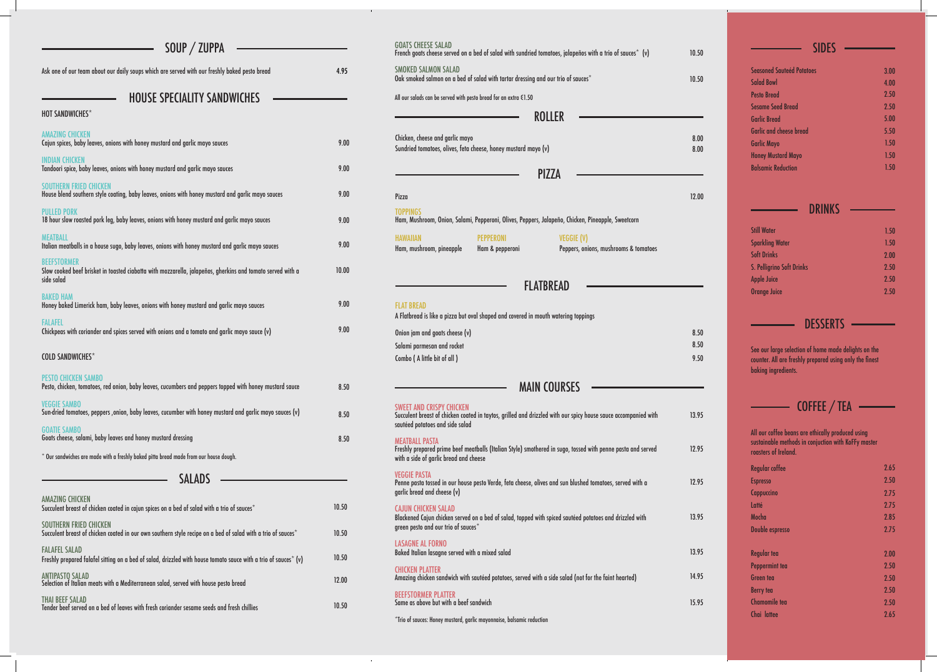| SOUP / ZUPPA                                                                                                                                   |       |
|------------------------------------------------------------------------------------------------------------------------------------------------|-------|
| Ask one of our team about our daily soups which are served with our freshly baked pesto bread                                                  | 4.95  |
| <b>HOUSE SPECIALITY SANDWICHES</b>                                                                                                             |       |
| <b>HOT SANDWICHES*</b>                                                                                                                         |       |
| <b>AMAZING CHICKEN</b><br>Cajun spices, baby leaves, onions with honey mustard and garlic mayo sauces                                          | 9.00  |
| <b>INDIAN CHICKEN</b><br>Tandoori spice, baby leaves, onions with honey mustard and garlic mayo sauces                                         | 9.00  |
| <b>SOUTHERN FRIED CHICKEN</b><br>House blend southern style coating, baby leaves, onions with honey mustard and garlic mayo sauces             | 9.00  |
| <b>PULLED PORK</b><br>18 hour slow roasted pork leg, baby leaves, onions with honey mustard and garlic mayo sauces                             | 9.00  |
| <b>MEATBALL</b><br>Italian meatballs in a house sugo, baby leaves, onions with honey mustard and garlic mayo sauces                            | 9.00  |
| <b>REFESTORMER</b><br>Slow cooked beef brisket in toasted ciabatta with mozzarella, jalapeños, gherkins and tomato served with a<br>side salad | 10.00 |
| <b>BAKED HAM</b><br>Honey baked Limerick ham, baby leaves, onions with honey mustard and garlic mayo sauces                                    | 9.00  |
| <b>FALAFEL</b><br>(v) Chickpeas with coriander and spices served with onions and a tomato and garlic mayo sauce                                | 9.00  |
| <b>COLD SANDWICHES*</b>                                                                                                                        |       |
| <b>PESTO CHICKEN SAMBO</b><br>Pesto, chicken, tomatoes, red onion, baby leaves, cucumbers and peppers topped with honey mustard sauce          | 8.50  |
| <b>VEGGIE SAMBO</b><br>Sun-dried tomatoes, peppers , onion, baby leaves, cucumber with honey mustard and garlic mayo sauces (v)                | 8.50  |
| <b>GOATIE SAMBO</b><br>Goats cheese, salami, baby leaves and honey mustard dressing                                                            | 8.50  |
| * Our sandwiches are made with a freshly baked pitta bread made from our house dough.                                                          |       |
| <b>SALADS</b>                                                                                                                                  |       |
| <b>AMAZING CHICKEN</b><br>Succulent breast of chicken coated in cajun spices on a bed of salad with a trio of sauces*                          | 10.50 |
| <b>SOUTHERN FRIED CHICKEN</b><br>Succulent breast of chicken coated in our own southern style recipe on a bed of salad with a trio of sauces*  | 10.50 |
| <b>FALAFEL SALAD</b><br>Freshly prepared falafel sitting on a bed of salad, drizzled with house tomato sauce with a trio of sauces* (v)        | 10.50 |
| <b>ANTIPASTO SALAD</b><br>Selection of Italian meats with a Mediterranean salad, served with house pesto bread                                 | 12.00 |
| <b>THAI BEEF SALAD</b><br>Tender beef served on a bed of leaves with fresh coriander sesame seeds and fresh chillies                           | 10.50 |

### GOATS CHEESE SALAD French goats cheese served on a bed of salad with sundried tomatoes, jalapeños with a trio of sauces $^\ast$  (v) SMOKED SALMON SALAD Oak smoked salmon on a bed of salad with tartar dressing and our trio of sauces\* All our salads can be served with pesto bread for an extra €1.50 SWEET AND CRISPY CHICKEN Succulent breast of chicken coated in taytos, grilled and drizzled with our spicy house sauce accompanied with sautéed potatoes and side salad MEATBALL PASTA Freshly prepared prime beef meatballs (Italian Style) smothered in sugo, tossed with penne pasta and served with a side of garlic bread and cheese VEGGIE PASTA Penne pasta tossed in our house pesto Verde, feta cheese, olives and sun blushed tomatoes, served with a garlic bread and cheese (v) CAJUN CHICKEN SALAD Blackened Cajun chicken served on a bed of salad, topped with spiced sautéed potatoes and drizzled with green pesto and our trio of sauces\* LASAGNE AL FORNO Baked Italian lasagne served with a mixed salad CHICKEN PLATTER Amazing chicken sandwich with sautéed potatoes, served with a side salad (not for the faint hearted) BEEFSTORMER PLATTER Same as above but with a beef sandwich MAIN COURSES ROLLER PIZZA Chicken, cheese and garlic mayo Sundried tomatoes, olives, feta cheese, honey mustard mayo (v) Pizza TOPPINGS Ham, Mushroom, Onion, Salami, Pepperoni, Olives, Peppers, Jalapeño, Chicken, Pineapple, Sweetcorn HAWAIIAN PEPPERONI VEGGIE (V) Ham, mushroom, pineapple Ham & pepperoni Peppers, onions, mushrooms & tomatoes FLAT BREAD A Flatbread is like a pizza but oval shaped and covered in mouth watering toppings Onion jam and goats cheese (v) Salami parmesan and rocket Combo ( A little bit of all )

\*Trio of sauces: Honey mustard, garlic mayonnaise, balsamic reduction

| dried tomatoes, jalapeños with a trio of sauces $*$ (v) | 10.50        | <b>SIDES</b>                                                                   |              |
|---------------------------------------------------------|--------------|--------------------------------------------------------------------------------|--------------|
|                                                         |              | <b>Seasoned Sauteéd Potatoes</b>                                               | 3.00         |
| ssing and our trio of sauces $^\star$                   | 10.50        | <b>Salad Bowl</b>                                                              | 4.00         |
| 1.50                                                    |              | <b>Pesto Bread</b>                                                             | 2.50         |
|                                                         |              | <b>Sesame Seed Bread</b>                                                       | 2.50         |
| <b>ROLLER</b>                                           |              | <b>Garlic Bread</b>                                                            | 5.00         |
|                                                         | 8.00         | <b>Garlic and cheese bread</b>                                                 | 5.50         |
| d mayo (v)                                              | 8.00         | <b>Garlic Mayo</b>                                                             | 1.50         |
|                                                         |              | <b>Honey Mustard Mayo</b><br><b>Balsamic Reduction</b>                         | 1.50         |
| <b>PIZZA</b>                                            |              |                                                                                | 1.50         |
|                                                         | 12.00        |                                                                                |              |
|                                                         |              | <b>DRINKS</b>                                                                  |              |
| eppers, Jalapeño, Chicken, Pineapple, Sweetcorn         |              | <b>Still Water</b>                                                             | 1.50         |
| <b>VEGGIE (V)</b>                                       |              | <b>Sparkling Water</b>                                                         |              |
| Peppers, onions, mushrooms & tomatoes                   |              | <b>Soft Drinks</b>                                                             | 1.50<br>2.00 |
|                                                         |              | S. Pelligrino Soft Drinks                                                      | 2.50         |
|                                                         |              | <b>Apple Juice</b>                                                             | 2.50         |
| <b>FLATBREAD</b>                                        |              | <b>Orange Juice</b>                                                            | 2.50         |
| d in mouth watering toppings                            |              |                                                                                |              |
|                                                         |              | <b>DESSERTS</b>                                                                |              |
|                                                         | 8.50<br>8.50 |                                                                                |              |
|                                                         |              | See our large selection of home made delights on the                           |              |
|                                                         | 9.50         | counter. All are freshly prepared using only the finest<br>baking ingredients. |              |
| <b>AIN COURSES</b>                                      |              |                                                                                |              |
|                                                         |              |                                                                                |              |
| d drizzled with our spicy house sauce accompanied with  | 13.95        | <b>COFFEE</b> / TEA                                                            |              |
|                                                         |              | All our coffee beans are ethically produced using                              |              |
|                                                         |              | sustainable methods in conjuction with KoFFy master                            |              |
| smothered in sugo, tossed with penne pasta and served   | 12.95        | roasters of Ireland.                                                           |              |
|                                                         |              | <b>Regular coffee</b>                                                          | 2.65         |
| ese, olives and sun blushed tomatoes, served with a     | 12.95        | <b>Espresso</b>                                                                | 2.50         |
|                                                         |              | Cappuccino                                                                     | 2.75         |
|                                                         |              | Latté                                                                          | 2.75         |
| ped with spiced sautéed potatoes and drizzled with      | 13.95        | Mocha                                                                          | 2.85         |
|                                                         |              | Double espresso                                                                | 2.75         |
|                                                         |              |                                                                                |              |
|                                                         | 13.95        | <b>Regular tea</b>                                                             | 2.00         |
|                                                         |              | Peppermint tea                                                                 | 2.50         |
| ed with a side salad (not for the faint hearted)        | 14.95        | <b>Green</b> tea                                                               | 2.50         |
|                                                         |              | <b>Berry tea</b>                                                               | 2.50         |
|                                                         | 15.95        | <b>Chamomile tea</b>                                                           | 2.50         |